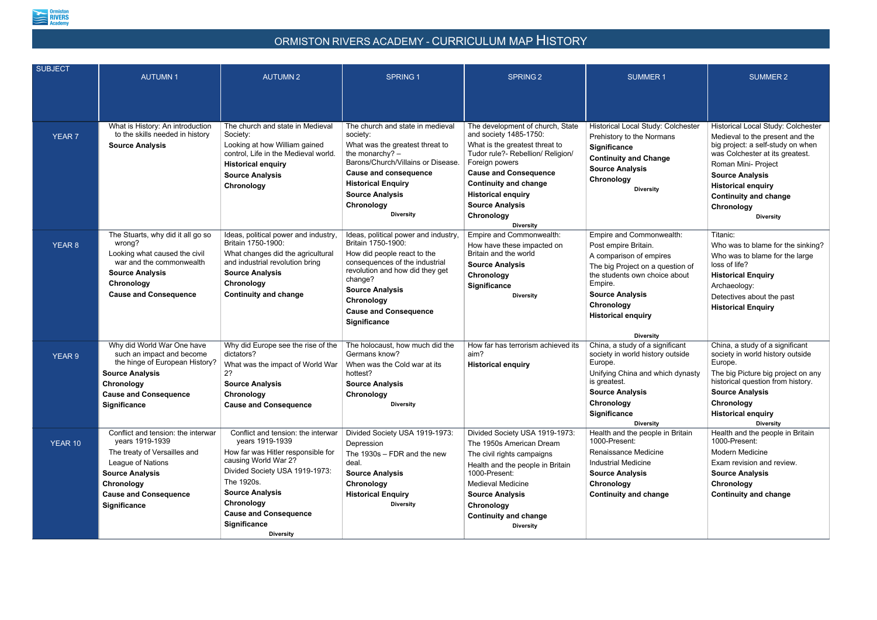

## ORMISTON RIVERS ACADEMY - CURRICULUM MAP HISTORY

| <b>SUBJECT</b> | <b>AUTUMN1</b>                                                                                                                                                                                            | <b>AUTUMN2</b>                                                                                                                                                                                                                                                                         | <b>SPRING 1</b>                                                                                                                                                                                                                                                     | SPRING <sub>2</sub>                                                                                                                                                                                                                                                                                          | <b>SUMMER1</b>                                                                                                                                                                                                                                       | <b>SUMMER 2</b>                                                                                                                                                                                                                                                                               |
|----------------|-----------------------------------------------------------------------------------------------------------------------------------------------------------------------------------------------------------|----------------------------------------------------------------------------------------------------------------------------------------------------------------------------------------------------------------------------------------------------------------------------------------|---------------------------------------------------------------------------------------------------------------------------------------------------------------------------------------------------------------------------------------------------------------------|--------------------------------------------------------------------------------------------------------------------------------------------------------------------------------------------------------------------------------------------------------------------------------------------------------------|------------------------------------------------------------------------------------------------------------------------------------------------------------------------------------------------------------------------------------------------------|-----------------------------------------------------------------------------------------------------------------------------------------------------------------------------------------------------------------------------------------------------------------------------------------------|
| <b>YEAR 7</b>  | What is History: An introduction<br>to the skills needed in history<br><b>Source Analysis</b>                                                                                                             | The church and state in Medieval<br>Society:<br>Looking at how William gained<br>control, Life in the Medieval world.<br><b>Historical enquiry</b><br><b>Source Analysis</b><br>Chronology                                                                                             | The church and state in medieval<br>society:<br>What was the greatest threat to<br>the monarchy? $-$<br>Barons/Church/Villains or Disease.<br><b>Cause and consequence</b><br><b>Historical Enquiry</b><br><b>Source Analysis</b><br>Chronology<br><b>Diversity</b> | The development of church, State<br>and society 1485-1750:<br>What is the greatest threat to<br>Tudor rule?- Rebellion/ Religion/<br>Foreign powers<br><b>Cause and Consequence</b><br><b>Continuity and change</b><br><b>Historical enquiry</b><br><b>Source Analysis</b><br>Chronology<br><b>Diversity</b> | Historical Local Study: Colchester<br>Prehistory to the Normans<br><b>Significance</b><br><b>Continuity and Change</b><br><b>Source Analysis</b><br>Chronology<br><b>Diversity</b>                                                                   | Historical Local Study: Colchester<br>Medieval to the present and the<br>big project: a self-study on when<br>was Colchester at its greatest.<br>Roman Mini- Project<br><b>Source Analysis</b><br><b>Historical enquiry</b><br><b>Continuity and change</b><br>Chronology<br><b>Diversity</b> |
| <b>YEAR 8</b>  | The Stuarts, why did it all go so<br>wrong?<br>Looking what caused the civil<br>war and the commonwealth<br><b>Source Analysis</b><br>Chronology<br><b>Cause and Consequence</b>                          | Ideas, political power and industry,<br>Britain 1750-1900:<br>What changes did the agricultural<br>and industrial revolution bring<br><b>Source Analysis</b><br>Chronology<br><b>Continuity and change</b>                                                                             | Ideas, political power and industry,<br>Britain 1750-1900:<br>How did people react to the<br>consequences of the industrial<br>revolution and how did they get<br>change?<br><b>Source Analysis</b><br>Chronology<br><b>Cause and Consequence</b><br>Significance   | Empire and Commonwealth:<br>How have these impacted on<br>Britain and the world<br><b>Source Analysis</b><br>Chronology<br>Significance<br><b>Diversity</b>                                                                                                                                                  | Empire and Commonwealth:<br>Post empire Britain.<br>A comparison of empires<br>The big Project on a question of<br>the students own choice about<br>Empire.<br><b>Source Analysis</b><br>Chronology<br><b>Historical enquiry</b><br><b>Diversity</b> | Titanic:<br>Who was to blame for the sinking?<br>Who was to blame for the large<br>loss of life?<br><b>Historical Enquiry</b><br>Archaeology:<br>Detectives about the past<br><b>Historical Enquiry</b>                                                                                       |
| <b>YEAR 9</b>  | Why did World War One have<br>such an impact and become<br>the hinge of European History?<br><b>Source Analysis</b><br>Chronology<br><b>Cause and Consequence</b><br><b>Significance</b>                  | Why did Europe see the rise of the<br>dictators?<br>What was the impact of World War<br>2?<br><b>Source Analysis</b><br>Chronology<br><b>Cause and Consequence</b>                                                                                                                     | The holocaust, how much did the<br>Germans know?<br>When was the Cold war at its<br>hottest?<br><b>Source Analysis</b><br>Chronology<br><b>Diversity</b>                                                                                                            | How far has terrorism achieved its<br>aim?<br><b>Historical enquiry</b>                                                                                                                                                                                                                                      | China, a study of a significant<br>society in world history outside<br>Europe.<br>Unifying China and which dynasty<br>is greatest.<br><b>Source Analysis</b><br>Chronology<br><b>Significance</b><br><b>Diversity</b>                                | China, a study of a significant<br>society in world history outside<br>Europe.<br>The big Picture big project on any<br>historical question from history.<br><b>Source Analysis</b><br>Chronology<br><b>Historical enquiry</b><br><b>Diversity</b>                                            |
| YEAR 10        | Conflict and tension: the interwar<br>years 1919-1939<br>The treaty of Versailles and<br>League of Nations<br><b>Source Analysis</b><br>Chronology<br><b>Cause and Consequence</b><br><b>Significance</b> | Conflict and tension: the interwar<br>years 1919-1939<br>How far was Hitler responsible for<br>causing World War 2?<br>Divided Society USA 1919-1973:<br>The 1920s.<br><b>Source Analysis</b><br>Chronology<br><b>Cause and Consequence</b><br><b>Significance</b><br><b>Diversity</b> | Divided Society USA 1919-1973:<br>Depression<br>The 1930s - FDR and the new<br>deal.<br><b>Source Analysis</b><br>Chronology<br><b>Historical Enquiry</b><br><b>Diversity</b>                                                                                       | Divided Society USA 1919-1973:<br>The 1950s American Dream<br>The civil rights campaigns<br>Health and the people in Britain<br>1000-Present:<br><b>Medieval Medicine</b><br><b>Source Analysis</b><br>Chronology<br><b>Continuity and change</b><br><b>Diversity</b>                                        | Health and the people in Britain<br>1000-Present:<br>Renaissance Medicine<br><b>Industrial Medicine</b><br><b>Source Analysis</b><br>Chronology<br><b>Continuity and change</b>                                                                      | Health and the people in Britain<br>1000-Present:<br>Modern Medicine<br>Exam revision and review.<br><b>Source Analysis</b><br>Chronology<br><b>Continuity and change</b>                                                                                                                     |